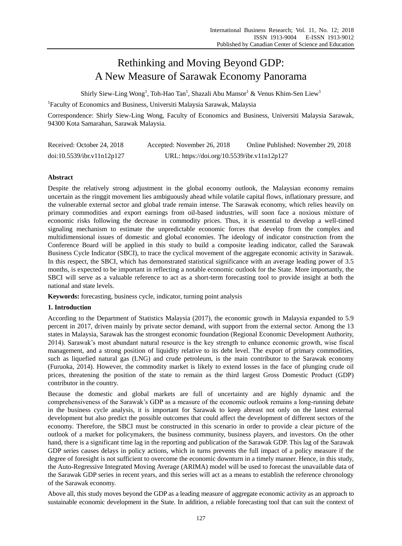# Rethinking and Moving Beyond GDP: A New Measure of Sarawak Economy Panorama

Shirly Siew-Ling Wong<sup>1</sup>, Toh-Hao Tan<sup>1</sup>, Shazali Abu Mansor $^1$  & Venus Khim-Sen Liew $^1$ 

<sup>1</sup>Faculty of Economics and Business, Universiti Malaysia Sarawak, Malaysia

Correspondence: Shirly Siew-Ling Wong, Faculty of Economics and Business, Universiti Malaysia Sarawak, 94300 Kota Samarahan, Sarawak Malaysia.

| Received: October 24, 2018 | Accepted: November 26, 2018                 | Online Published: November 29, 2018 |
|----------------------------|---------------------------------------------|-------------------------------------|
| doi:10.5539/ibr.v11n12p127 | URL: https://doi.org/10.5539/ibr.v11n12p127 |                                     |

# **Abstract**

Despite the relatively strong adjustment in the global economy outlook, the Malaysian economy remains uncertain as the ringgit movement lies ambiguously ahead while volatile capital flows, inflationary pressure, and the vulnerable external sector and global trade remain intense. The Sarawak economy, which relies heavily on primary commodities and export earnings from oil-based industries, will soon face a noxious mixture of economic risks following the decrease in commodity prices. Thus, it is essential to develop a well-timed signaling mechanism to estimate the unpredictable economic forces that develop from the complex and multidimensional issues of domestic and global economies. The ideology of indicator construction from the Conference Board will be applied in this study to build a composite leading indicator, called the Sarawak Business Cycle Indicator (SBCI), to trace the cyclical movement of the aggregate economic activity in Sarawak. In this respect, the SBCI, which has demonstrated statistical significance with an average leading power of 3.5 months, is expected to be important in reflecting a notable economic outlook for the State. More importantly, the SBCI will serve as a valuable reference to act as a short-term forecasting tool to provide insight at both the national and state levels.

**Keywords:** forecasting, business cycle, indicator, turning point analysis

# **1. Introduction**

According to the Department of Statistics Malaysia (2017), the economic growth in Malaysia expanded to 5.9 percent in 2017, driven mainly by private sector demand, with support from the external sector. Among the 13 states in Malaysia, Sarawak has the strongest economic foundation (Regional Economic Development Authority, 2014). Sarawak's most abundant natural resource is the key strength to enhance economic growth, wise fiscal management, and a strong position of liquidity relative to its debt level. The export of primary commodities, such as liquefied natural gas (LNG) and crude petroleum, is the main contributor to the Sarawak economy (Furuoka, 2014). However, the commodity market is likely to extend losses in the face of plunging crude oil prices, threatening the position of the state to remain as the third largest Gross Domestic Product (GDP) contributor in the country.

Because the domestic and global markets are full of uncertainty and are highly dynamic and the comprehensiveness of the Sarawak's GDP as a measure of the economic outlook remains a long-running debate in the business cycle analysis, it is important for Sarawak to keep abreast not only on the latest external development but also predict the possible outcomes that could affect the development of different sectors of the economy. Therefore, the SBCI must be constructed in this scenario in order to provide a clear picture of the outlook of a market for policymakers, the business community, business players, and investors. On the other hand, there is a significant time lag in the reporting and publication of the Sarawak GDP. This lag of the Sarawak GDP series causes delays in policy actions, which in turns prevents the full impact of a policy measure if the degree of foresight is not sufficient to overcome the economic downturn in a timely manner. Hence, in this study, the Auto-Regressive Integrated Moving Average (ARIMA) model will be used to forecast the unavailable data of the Sarawak GDP series in recent years, and this series will act as a means to establish the reference chronology of the Sarawak economy.

Above all, this study moves beyond the GDP as a leading measure of aggregate economic activity as an approach to sustainable economic development in the State. In addition, a reliable forecasting tool that can suit the context of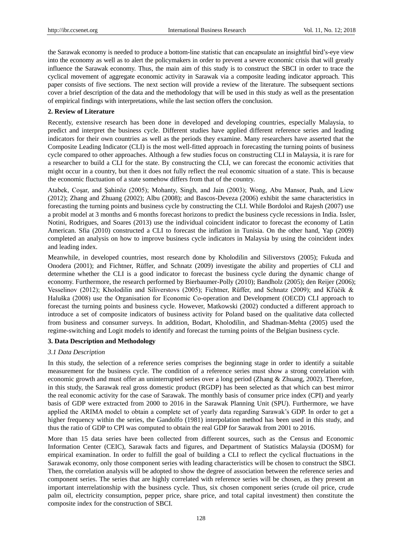the Sarawak economy is needed to produce a bottom-line statistic that can encapsulate an insightful bird's-eye view into the economy as well as to alert the policymakers in order to prevent a severe economic crisis that will greatly influence the Sarawak economy. Thus, the main aim of this study is to construct the SBCI in order to trace the cyclical movement of aggregate economic activity in Sarawak via a composite leading indicator approach. This paper consists of five sections. The next section will provide a review of the literature. The subsequent sections cover a brief description of the data and the methodology that will be used in this study as well as the presentation of empirical findings with interpretations, while the last section offers the conclusion.

## **2. Review of Literature**

Recently, extensive research has been done in developed and developing countries, especially Malaysia, to predict and interpret the business cycle. Different studies have applied different reference series and leading indicators for their own countries as well as the periods they examine. Many researchers have asserted that the Composite Leading Indicator (CLI) is the most well-fitted approach in forecasting the turning points of business cycle compared to other approaches. Although a few studies focus on constructing CLI in Malaysia, it is rare for a researcher to build a CLI for the state. By constructing the CLI, we can forecast the economic activities that might occur in a country, but then it does not fully reflect the real economic situation of a state. This is because the economic fluctuation of a state somehow differs from that of the country.

Atabek, Coşar, and Şahinöz (2005); Mohanty, Singh, and Jain (2003); Wong, Abu Mansor, Puah, and Liew (2012); Zhang and Zhuang (2002); Albu (2008); and Bascos-Deveza (2006) exhibit the same characteristics in forecasting the turning points and business cycle by constructing the CLI. While Bordoloi and Rajesh (2007) use a probit model at 3 months and 6 months forecast horizons to predict the business cycle recessions in India. Issler, Notini, Rodrigues, and Soares (2013) use the individual coincident indicator to forecast the economy of Latin American. Sfia (2010) constructed a CLI to forecast the inflation in Tunisia. On the other hand, Yap (2009) completed an analysis on how to improve business cycle indicators in Malaysia by using the coincident index and leading index.

Meanwhile, in developed countries, most research done by Kholodilin and Siliverstovs (2005); Fukuda and Onodera (2001); and Fichtner, Rüffer, and Schnatz (2009) investigate the ability and properties of CLI and determine whether the CLI is a good indicator to forecast the business cycle during the dynamic change of economy. Furthermore, the research performed by Bierbaumer-Polly (2010); Bandholz (2005); den Reijer (2006); Vesselinov (2012); Kholodilin and Siliverstovs (2005); Fichtner, Rüffer, and Schnatz (2009); and Kľúčik & Haluška (2008) use the Organisation for Economic Co-operation and Development (OECD) CLI approach to forecast the turning points and business cycle. However, Matkowski (2002) conducted a different approach to introduce a set of composite indicators of business activity for Poland based on the qualitative data collected from business and consumer surveys. In addition, Bodart, Kholodilin, and Shadman-Mehta (2005) used the regime-switching and Logit models to identify and forecast the turning points of the Belgian business cycle.

# **3. Data Description and Methodology**

## *3.1 Data Description*

In this study, the selection of a reference series comprises the beginning stage in order to identify a suitable measurement for the business cycle. The condition of a reference series must show a strong correlation with economic growth and must offer an uninterrupted series over a long period (Zhang & Zhuang, 2002). Therefore, in this study, the Sarawak real gross domestic product (RGDP) has been selected as that which can best mirror the real economic activity for the case of Sarawak. The monthly basis of consumer price index (CPI) and yearly basis of GDP were extracted from 2000 to 2016 in the Sarawak Planning Unit (SPU). Furthermore, we have applied the ARIMA model to obtain a complete set of yearly data regarding Sarawak's GDP. In order to get a higher frequency within the series, the Gandolfo (1981) interpolation method has been used in this study, and thus the ratio of GDP to CPI was computed to obtain the real GDP for Sarawak from 2001 to 2016.

More than 15 data series have been collected from different sources, such as the Census and Economic Information Center (CEIC), Sarawak facts and figures, and Department of Statistics Malaysia (DOSM) for empirical examination. In order to fulfill the goal of building a CLI to reflect the cyclical fluctuations in the Sarawak economy, only those component series with leading characteristics will be chosen to construct the SBCI. Then, the correlation analysis will be adopted to show the degree of association between the reference series and component series. The series that are highly correlated with reference series will be chosen, as they present an important interrelationship with the business cycle. Thus, six chosen component series (crude oil price, crude palm oil, electricity consumption, pepper price, share price, and total capital investment) then constitute the composite index for the construction of SBCI.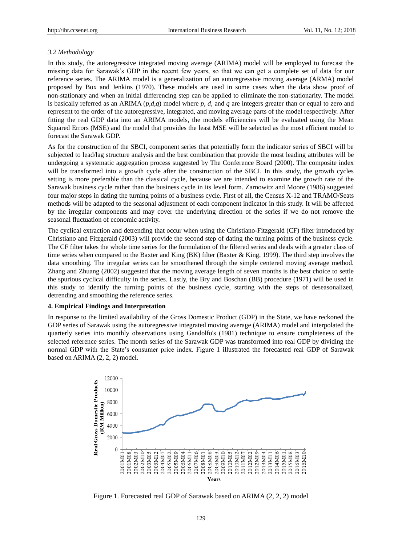## *3.2 Methodology*

In this study, the autoregressive integrated moving average (ARIMA) model will be employed to forecast the missing data for Sarawak's GDP in the recent few years, so that we can get a complete set of data for our reference series. The ARIMA model is a generalization of an autoregressive moving average (ARMA) model proposed by Box and Jenkins (1970). These models are used in some cases when the data show proof of non-stationary and when an initial differencing step can be applied to eliminate the non-stationarity. The model is basically referred as an ARIMA (*p,d,q*) model where *p*, *d*, and *q* are integers greater than or equal to zero and represent to the order of the autoregressive, integrated, and moving average parts of the model respectively. After fitting the real GDP data into an ARIMA models, the models efficiencies will be evaluated using the Mean Squared Errors (MSE) and the model that provides the least MSE will be selected as the most efficient model to forecast the Sarawak GDP.

As for the construction of the SBCI, component series that potentially form the indicator series of SBCI will be subjected to lead/lag structure analysis and the best combination that provide the most leading attributes will be undergoing a systematic aggregation process suggested by The Conference Board (2000). The composite index will be transformed into a growth cycle after the construction of the SBCI. In this study, the growth cycles setting is more preferable than the classical cycle, because we are intended to examine the growth rate of the Sarawak business cycle rather than the business cycle in its level form. Zarnowitz and Moore (1986) suggested four major steps in dating the turning points of a business cycle. First of all, the Census X-12 and TRAMO/Seats methods will be adapted to the seasonal adjustment of each component indicator in this study. It will be affected by the irregular components and may cover the underlying direction of the series if we do not remove the seasonal fluctuation of economic activity.

The cyclical extraction and detrending that occur when using the Christiano-Fitzgerald (CF) filter introduced by Christiano and Fitzgerald (2003) will provide the second step of dating the turning points of the business cycle. The CF filter takes the whole time series for the formulation of the filtered series and deals with a greater class of time series when compared to the Baxter and King (BK) filter (Baxter & King, 1999). The third step involves the data smoothing. The irregular series can be smoothened through the simple centered moving average method. Zhang and Zhuang (2002) suggested that the moving average length of seven months is the best choice to settle the spurious cyclical difficulty in the series. Lastly, the Bry and Boschan (BB) procedure (1971) will be used in this study to identify the turning points of the business cycle, starting with the steps of deseasonalized, detrending and smoothing the reference series.

#### **4. Empirical Findings and Interpretation**

In response to the limited availability of the Gross Domestic Product (GDP) in the State, we have reckoned the GDP series of Sarawak using the autoregressive integrated moving average (ARIMA) model and interpolated the quarterly series into monthly observations using Gandolfo's (1981) technique to ensure completeness of the selected reference series. The month series of the Sarawak GDP was transformed into real GDP by dividing the normal GDP with the State's consumer price index. Figure 1 illustrated the forecasted real GDP of Sarawak based on ARIMA (2, 2, 2) model.



Figure 1. Forecasted real GDP of Sarawak based on ARIMA (2, 2, 2) model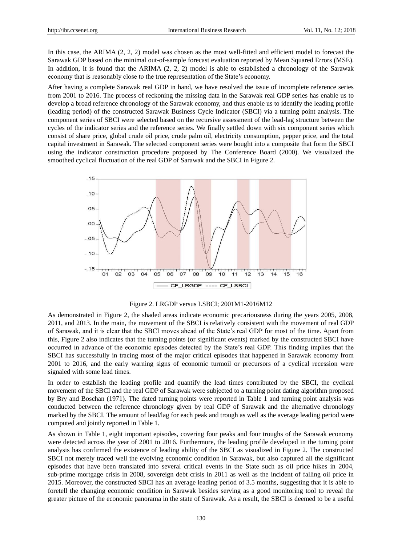In this case, the ARIMA (2, 2, 2) model was chosen as the most well-fitted and efficient model to forecast the Sarawak GDP based on the minimal out-of-sample forecast evaluation reported by Mean Squared Errors (MSE). In addition, it is found that the ARIMA (2, 2, 2) model is able to established a chronology of the Sarawak economy that is reasonably close to the true representation of the State's economy.

After having a complete Sarawak real GDP in hand, we have resolved the issue of incomplete reference series from 2001 to 2016. The process of reckoning the missing data in the Sarawak real GDP series has enable us to develop a broad reference chronology of the Sarawak economy, and thus enable us to identify the leading profile (leading period) of the constructed Sarawak Business Cycle Indicator (SBCI) via a turning point analysis. The component series of SBCI were selected based on the recursive assessment of the lead-lag structure between the cycles of the indicator series and the reference series. We finally settled down with six component series which consist of share price, global crude oil price, crude palm oil, electricity consumption, pepper price, and the total capital investment in Sarawak. The selected component series were bought into a composite that form the SBCI using the indicator construction procedure proposed by The Conference Board (2000). We visualized the smoothed cyclical fluctuation of the real GDP of Sarawak and the SBCI in Figure 2.



## Figure 2. LRGDP versus LSBCI; 2001M1-2016M12

As demonstrated in Figure 2, the shaded areas indicate economic precariousness during the years 2005, 2008, 2011, and 2013. In the main, the movement of the SBCI is relatively consistent with the movement of real GDP of Sarawak, and it is clear that the SBCI moves ahead of the State's real GDP for most of the time. Apart from this, Figure 2 also indicates that the turning points (or significant events) marked by the constructed SBCI have occurred in advance of the economic episodes detected by the State's real GDP. This finding implies that the SBCI has successfully in tracing most of the major critical episodes that happened in Sarawak economy from 2001 to 2016, and the early warning signs of economic turmoil or precursors of a cyclical recession were signaled with some lead times.

In order to establish the leading profile and quantify the lead times contributed by the SBCI, the cyclical movement of the SBCI and the real GDP of Sarawak were subjected to a turning point dating algorithm proposed by Bry and Boschan (1971). The dated turning points were reported in Table 1 and turning point analysis was conducted between the reference chronology given by real GDP of Sarawak and the alternative chronology marked by the SBCI. The amount of lead/lag for each peak and trough as well as the average leading period were computed and jointly reported in Table 1.

As shown in Table 1, eight important episodes, covering four peaks and four troughs of the Sarawak economy were detected across the year of 2001 to 2016. Furthermore, the leading profile developed in the turning point analysis has confirmed the existence of leading ability of the SBCI as visualized in Figure 2. The constructed SBCI not merely traced well the evolving economic condition in Sarawak, but also captured all the significant episodes that have been translated into several critical events in the State such as oil price hikes in 2004, sub-prime mortgage crisis in 2008, sovereign debt crisis in 2011 as well as the incident of falling oil price in 2015. Moreover, the constructed SBCI has an average leading period of 3.5 months, suggesting that it is able to foretell the changing economic condition in Sarawak besides serving as a good monitoring tool to reveal the greater picture of the economic panorama in the state of Sarawak. As a result, the SBCI is deemed to be a useful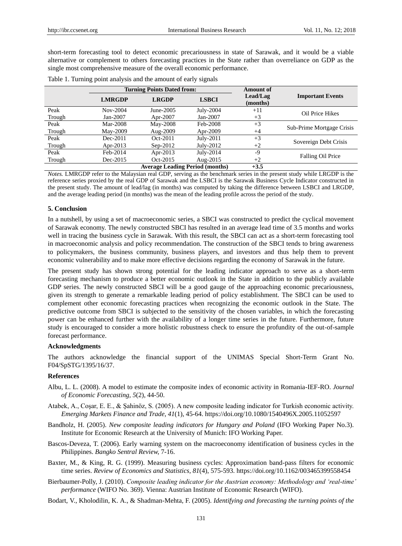short-term forecasting tool to detect economic precariousness in state of Sarawak, and it would be a viable alternative or complement to others forecasting practices in the State rather than overreliance on GDP as the single most comprehensive measure of the overall economic performance.

|        |               | <b>Turning Points Dated from:</b> |              | <b>Amount of</b>     |                           |  |
|--------|---------------|-----------------------------------|--------------|----------------------|---------------------------|--|
|        | <b>LMRGDP</b> | <b>LRGDP</b>                      | <b>LSBCI</b> | Lead/Lag<br>(months) | <b>Important Events</b>   |  |
| Peak   | Nov-2004      | June-2005                         | July-2004    | $+11$                | Oil Price Hikes           |  |
| Trough | $Jan-2007$    | Apr-2007                          | Jan-2007     | $+3$                 |                           |  |
| Peak   | Mar-2008      | May-2008                          | Feb-2008     | $+3$                 |                           |  |
| Trough | May-2009      | Aug-2009                          | Apr-2009     | $+4$                 | Sub-Prime Mortgage Crisis |  |
| Peak   | Dec-2011      | $Oct-2011$                        | July-2011    | $+3$                 | Sovereign Debt Crisis     |  |
| Trough | Apr-2013      | $Sep-2012$                        | July-2012    | $+2$                 |                           |  |
| Peak   | Feb-2014      | Apr-2013                          | $July-2014$  | -9                   |                           |  |
| Trough | Dec-2015      | Oct-2015                          | Aug- $2015$  | $+2$                 | Falling Oil Price         |  |
|        |               | $+3.5$                            |              |                      |                           |  |

|  | Table 1. Turning point analysis and the amount of early signals |  |  |  |  |  |  |  |
|--|-----------------------------------------------------------------|--|--|--|--|--|--|--|
|--|-----------------------------------------------------------------|--|--|--|--|--|--|--|

*Notes.* LMRGDP refer to the Malaysian real GDP, serving as the benchmark series in the present study while LRGDP is the reference series proxied by the real GDP of Sarawak and the LSBCI is the Sarawak Business Cycle Indicator constructed in the present study. The amount of lead/lag (in months) was computed by taking the difference between LSBCI and LRGDP, and the average leading period (in months) was the mean of the leading profile across the period of the study.

## **5. Conclusion**

In a nutshell, by using a set of macroeconomic series, a SBCI was constructed to predict the cyclical movement of Sarawak economy. The newly constructed SBCI has resulted in an average lead time of 3.5 months and works well in tracing the business cycle in Sarawak. With this result, the SBCI can act as a short-term forecasting tool in macroeconomic analysis and policy recommendation. The construction of the SBCI tends to bring awareness to policymakers, the business community, business players, and investors and thus help them to prevent economic vulnerability and to make more effective decisions regarding the economy of Sarawak in the future.

The present study has shown strong potential for the leading indicator approach to serve as a short-term forecasting mechanism to produce a better economic outlook in the State in addition to the publicly available GDP series. The newly constructed SBCI will be a good gauge of the approaching economic precariousness, given its strength to generate a remarkable leading period of policy establishment. The SBCI can be used to complement other economic forecasting practices when recognizing the economic outlook in the State. The predictive outcome from SBCI is subjected to the sensitivity of the chosen variables, in which the forecasting power can be enhanced further with the availability of a longer time series in the future. Furthermore, future study is encouraged to consider a more holistic robustness check to ensure the profundity of the out-of-sample forecast performance.

## **Acknowledgments**

The authors acknowledge the financial support of the UNIMAS Special Short-Term Grant No. F04/SpSTG/1395/16/37.

#### **References**

- Albu, L. L. (2008). A model to estimate the composite index of economic activity in Romania-IEF-RO. *Journal of Economic Forecasting, 5*(2), 44-50.
- Atabek, A., Coşar, E. E., & Şahinöz, S. (2005). A new composite leading indicator for Turkish economic activity. *Emerging Markets Finance and Trade, 41*(1), 45-64. https://doi.org/10.1080/1540496X.2005.11052597
- Bandholz, H. (2005). *New composite leading indicators for Hungary and Poland* (IFO Working Paper No.3). Institute for Economic Research at the University of Munich: IFO Working Paper.
- Bascos-Deveza, T. (2006). Early warning system on the macroeconomy identification of business cycles in the Philippines. *Bangko Sentral Review,* 7-16.
- Baxter, M., & King, R. G. (1999). Measuring business cycles: Approximation band-pass filters for economic time series. *Review of Economics and Statistics, 81*(4), 575-593. https://doi.org/10.1162/003465399558454
- Bierbaumer-Polly, J. (2010). *Composite leading indicator for the Austrian economy: Methodology and 'real-time' performance* (WIFO No. 369). Vienna: Austrian Institute of Economic Research (WIFO).
- Bodart, V., Kholodilin, K. A., & Shadman-Mehta, F. (2005). *Identifying and forecasting the turning points of the*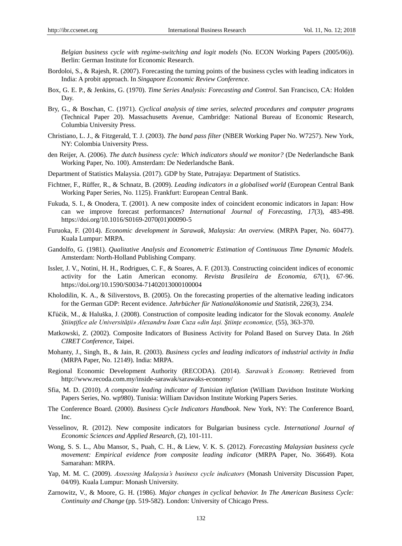*Belgian business cycle with regime-switching and logit models* (No. ECON Working Papers (2005/06)). Berlin: German Institute for Economic Research.

- Bordoloi, S., & Rajesh, R. (2007). Forecasting the turning points of the business cycles with leading indicators in India: A probit approach. In *Singapore Economic Review Conference*.
- Box, G. E. P., & Jenkins, G. (1970). *Time Series Analysis: Forecasting and Control*. San Francisco, CA: Holden Day.
- Bry, G., & Boschan, C. (1971). *Cyclical analysis of time series, selected procedures and computer programs* (Technical Paper 20). Massachusetts Avenue, Cambridge: National Bureau of Economic Research, Columbia University Press.
- Christiano, L. J., & Fitzgerald, T. J. (2003). *The band pass filter* (NBER Working Paper No. W7257). New York, NY: Colombia University Press.
- den Reijer, A. (2006). *The dutch business cycle: Which indicators should we monitor?* (De Nederlandsche Bank Working Paper, No. 100). Amsterdam: De Nederlandsche Bank.
- Department of Statistics Malaysia. (2017). GDP by State, Putrajaya: Department of Statistics.
- Fichtner, F., Rüffer, R., & Schnatz, B. (2009). *Leading indicators in a globalised world* (European Central Bank Working Paper Series, No. 1125). Frankfurt: European Central Bank.
- Fukuda, S. I., & Onodera, T. (2001). A new composite index of coincident economic indicators in Japan: How can we improve forecast performances? *International Journal of Forecasting, 17*(3), 483-498. https://doi.org/10.1016/S0169-2070(01)00090-5
- Furuoka, F. (2014). *Economic development in Sarawak, Malaysia: An overview.* (MRPA Paper, No. 60477). Kuala Lumpur: MRPA.
- Gandolfo, G. (1981). *Qualitative Analysis and Econometric Estimation of Continuous Time Dynamic Models.* Amsterdam: North-Holland Publishing Company.
- Issler, J. V., Notini, H. H., Rodrigues, C. F., & Soares, A. F. (2013). Constructing coincident indices of economic activity for the Latin American economy. *Revista Brasileira de Economia, 67*(1), 67-96. https://doi.org/10.1590/S0034-71402013000100004
- Kholodilin, K. A., & Siliverstovs, B. (2005). On the forecasting properties of the alternative leading indicators for the German GDP: Recent evidence. *Jahrbücher für Nationalökonomie und Statistik, 226*(3), 234.
- Kľúčik, M., & Haluška, J. (2008). Construction of composite leading indicator for the Slovak economy. *Analele Ştiinţifice ale Universităţii» Alexandru Ioan Cuza «din Iaşi. Ştiinţe economice,* (55), 363-370.
- Matkowski, Z. (2002). Composite Indicators of Business Activity for Poland Based on Survey Data. In *26th CIRET Conference*, Taipei.
- Mohanty, J., Singh, B., & Jain, R. (2003). *Business cycles and leading indicators of industrial activity in India* (MRPA Paper, No. 12149). India: MRPA.
- Regional Economic Development Authority (RECODA). (2014). *Sarawak's Economy.* Retrieved from http://www.recoda.com.my/inside-sarawak/sarawaks-economy/
- Sfia, M. D. (2010). *A composite leading indicator of Tunisian inflation* (William Davidson Institute Working Papers Series, No. wp980). Tunisia: William Davidson Institute Working Papers Series.
- The Conference Board. (2000). *Business Cycle Indicators Handbook*. New York, NY: The Conference Board, Inc.
- Vesselinov, R. (2012). New composite indicators for Bulgarian business cycle. *International Journal of Economic Sciences and Applied Research,* (2), 101-111.
- Wong, S. S. L., Abu Mansor, S., Puah, C. H., & Liew, V. K. S. (2012). *Forecasting Malaysian business cycle movement: Empirical evidence from composite leading indicator* (MRPA Paper, No. 36649). Kota Samarahan: MRPA.
- Yap, M. M. C. (2009). *Assessing Malaysia's business cycle indicators* (Monash University Discussion Paper, 04/09). Kuala Lumpur: Monash University.
- Zarnowitz, V., & Moore, G. H. (1986). *Major changes in cyclical behavior. In The American Business Cycle: Continuity and Change* (pp. 519-582). London: University of Chicago Press.